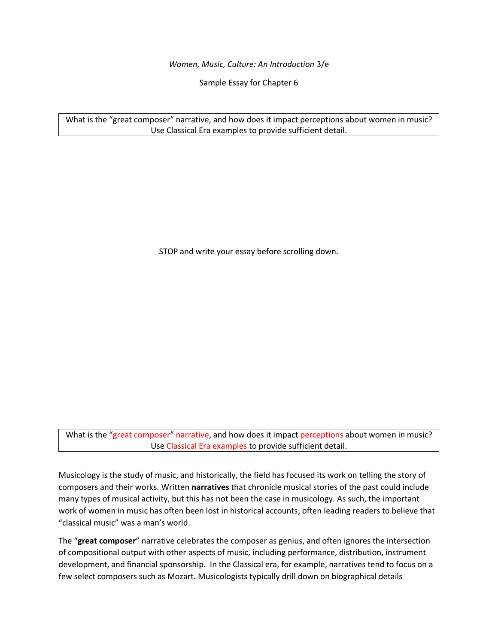*Women, Music, Culture: An Introduction* 3/e

Sample Essay for Chapter 6

What is the "great composer" narrative, and how does it impact perceptions about women in music? Use Classical Era examples to provide sufficient detail.

STOP and write your essay before scrolling down.

What is the "great composer" narrative, and how does it impact perceptions about women in music? Use Classical Era examples to provide sufficient detail.

Musicology is the study of music, and historically, the field has focused its work on telling the story of composers and their works. Written **narratives** that chronicle musical stories of the past could include many types of musical activity, but this has not been the case in musicology. As such, the important work of women in music has often been lost in historical accounts, often leading readers to believe that "classical music" was a man's world.

The "**great composer**" narrative celebrates the composer as genius, and often ignores the intersection of compositional output with other aspects of music, including performance, distribution, instrument development, and financial sponsorship. In the Classical era, for example, narratives tend to focus on a few select composers such as Mozart. Musicologists typically drill down on biographical details